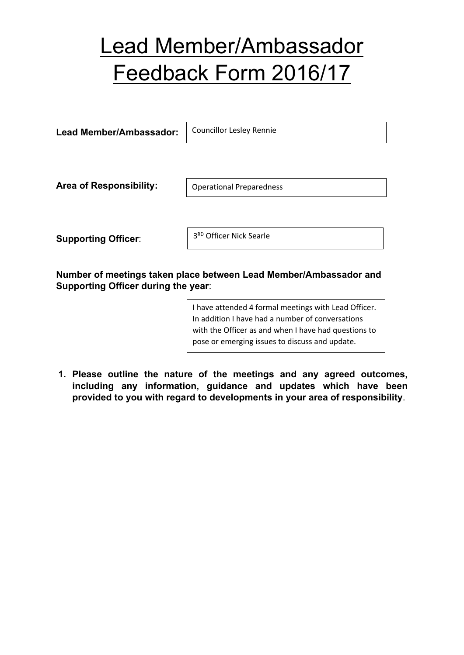## Lead Member/Ambassador Feedback Form 2016/17

**Lead Member/Ambassador: Area of Responsibility: Supporting Officer**: Operational Preparedness 3 RD Officer Nick Searle Councillor Lesley Rennie

**Number of meetings taken place between Lead Member/Ambassador and Supporting Officer during the year**:

> I have attended 4 formal meetings with Lead Officer. In addition I have had a number of conversations with the Officer as and when I have had questions to pose or emerging issues to discuss and update.

**1. Please outline the nature of the meetings and any agreed outcomes, including any information, guidance and updates which have been provided to you with regard to developments in your area of responsibility**.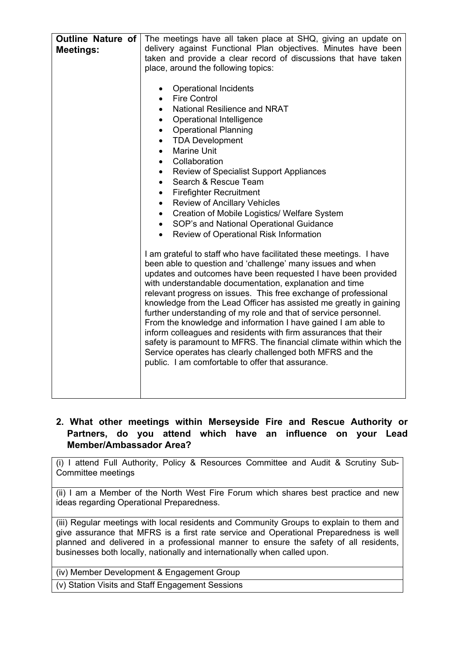| <b>Outline Nature of</b><br><b>Meetings:</b> | The meetings have all taken place at SHQ, giving an update on<br>delivery against Functional Plan objectives. Minutes have been<br>taken and provide a clear record of discussions that have taken<br>place, around the following topics:<br>Operational Incidents<br><b>Fire Control</b><br>$\bullet$<br><b>National Resilience and NRAT</b><br>$\bullet$<br>Operational Intelligence<br>$\bullet$<br><b>Operational Planning</b><br>$\bullet$<br><b>TDA Development</b><br>$\bullet$<br><b>Marine Unit</b><br>$\bullet$<br>Collaboration<br>$\bullet$<br><b>Review of Specialist Support Appliances</b><br>٠<br>Search & Rescue Team                                                                                                                                                                |
|----------------------------------------------|-------------------------------------------------------------------------------------------------------------------------------------------------------------------------------------------------------------------------------------------------------------------------------------------------------------------------------------------------------------------------------------------------------------------------------------------------------------------------------------------------------------------------------------------------------------------------------------------------------------------------------------------------------------------------------------------------------------------------------------------------------------------------------------------------------|
|                                              | <b>Firefighter Recruitment</b><br>$\bullet$<br><b>Review of Ancillary Vehicles</b><br>٠<br>Creation of Mobile Logistics/ Welfare System<br>$\bullet$                                                                                                                                                                                                                                                                                                                                                                                                                                                                                                                                                                                                                                                  |
|                                              | SOP's and National Operational Guidance<br>$\bullet$                                                                                                                                                                                                                                                                                                                                                                                                                                                                                                                                                                                                                                                                                                                                                  |
|                                              | Review of Operational Risk Information<br>$\bullet$                                                                                                                                                                                                                                                                                                                                                                                                                                                                                                                                                                                                                                                                                                                                                   |
|                                              |                                                                                                                                                                                                                                                                                                                                                                                                                                                                                                                                                                                                                                                                                                                                                                                                       |
|                                              | I am grateful to staff who have facilitated these meetings. I have<br>been able to question and 'challenge' many issues and when<br>updates and outcomes have been requested I have been provided<br>with understandable documentation, explanation and time<br>relevant progress on issues. This free exchange of professional<br>knowledge from the Lead Officer has assisted me greatly in gaining<br>further understanding of my role and that of service personnel.<br>From the knowledge and information I have gained I am able to<br>inform colleagues and residents with firm assurances that their<br>safety is paramount to MFRS. The financial climate within which the<br>Service operates has clearly challenged both MFRS and the<br>public. I am comfortable to offer that assurance. |

## **2. What other meetings within Merseyside Fire and Rescue Authority or Partners, do you attend which have an influence on your Lead Member/Ambassador Area?**

(i) I attend Full Authority, Policy & Resources Committee and Audit & Scrutiny Sub-Committee meetings

(ii) I am a Member of the North West Fire Forum which shares best practice and new ideas regarding Operational Preparedness.

(iii) Regular meetings with local residents and Community Groups to explain to them and give assurance that MFRS is a first rate service and Operational Preparedness is well planned and delivered in a professional manner to ensure the safety of all residents, businesses both locally, nationally and internationally when called upon.

(iv) Member Development & Engagement Group

(v) Station Visits and Staff Engagement Sessions